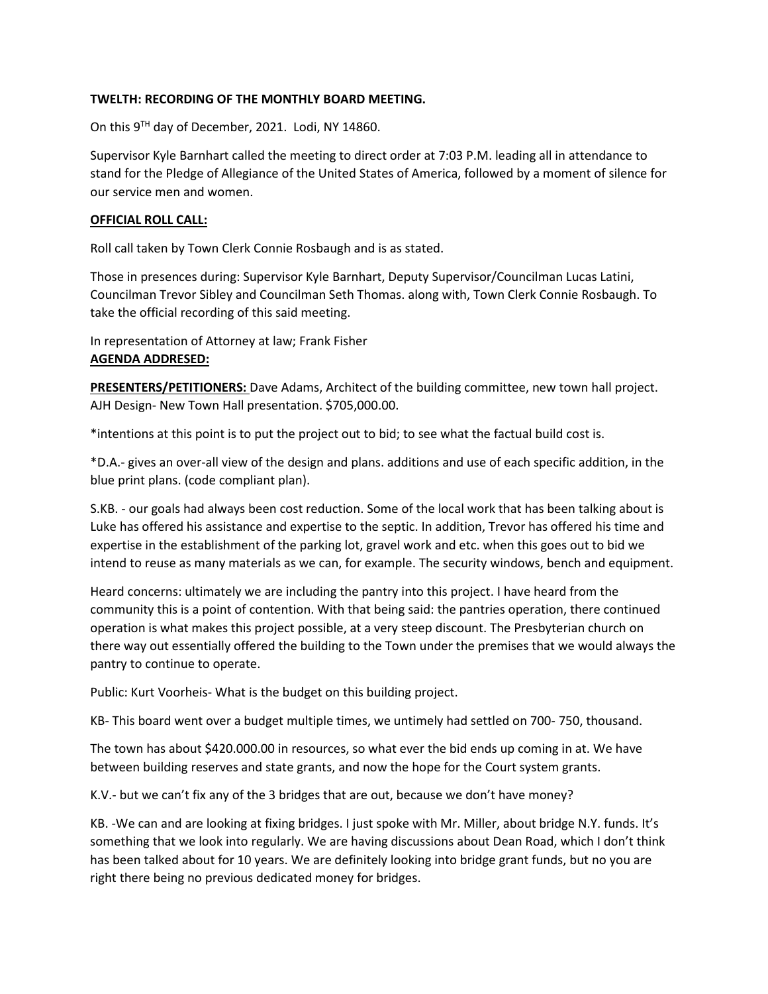## **TWELTH: RECORDING OF THE MONTHLY BOARD MEETING.**

On this 9<sup>TH</sup> day of December, 2021. Lodi, NY 14860.

Supervisor Kyle Barnhart called the meeting to direct order at 7:03 P.M. leading all in attendance to stand for the Pledge of Allegiance of the United States of America, followed by a moment of silence for our service men and women.

# **OFFICIAL ROLL CALL:**

Roll call taken by Town Clerk Connie Rosbaugh and is as stated.

Those in presences during: Supervisor Kyle Barnhart, Deputy Supervisor/Councilman Lucas Latini, Councilman Trevor Sibley and Councilman Seth Thomas. along with, Town Clerk Connie Rosbaugh. To take the official recording of this said meeting.

In representation of Attorney at law; Frank Fisher **AGENDA ADDRESED:**

**PRESENTERS/PETITIONERS:** Dave Adams, Architect of the building committee, new town hall project. AJH Design- New Town Hall presentation. \$705,000.00.

\*intentions at this point is to put the project out to bid; to see what the factual build cost is.

\*D.A.- gives an over-all view of the design and plans. additions and use of each specific addition, in the blue print plans. (code compliant plan).

S.KB. - our goals had always been cost reduction. Some of the local work that has been talking about is Luke has offered his assistance and expertise to the septic. In addition, Trevor has offered his time and expertise in the establishment of the parking lot, gravel work and etc. when this goes out to bid we intend to reuse as many materials as we can, for example. The security windows, bench and equipment.

Heard concerns: ultimately we are including the pantry into this project. I have heard from the community this is a point of contention. With that being said: the pantries operation, there continued operation is what makes this project possible, at a very steep discount. The Presbyterian church on there way out essentially offered the building to the Town under the premises that we would always the pantry to continue to operate.

Public: Kurt Voorheis- What is the budget on this building project.

KB- This board went over a budget multiple times, we untimely had settled on 700- 750, thousand.

The town has about \$420.000.00 in resources, so what ever the bid ends up coming in at. We have between building reserves and state grants, and now the hope for the Court system grants.

K.V.- but we can't fix any of the 3 bridges that are out, because we don't have money?

KB. -We can and are looking at fixing bridges. I just spoke with Mr. Miller, about bridge N.Y. funds. It's something that we look into regularly. We are having discussions about Dean Road, which I don't think has been talked about for 10 years. We are definitely looking into bridge grant funds, but no you are right there being no previous dedicated money for bridges.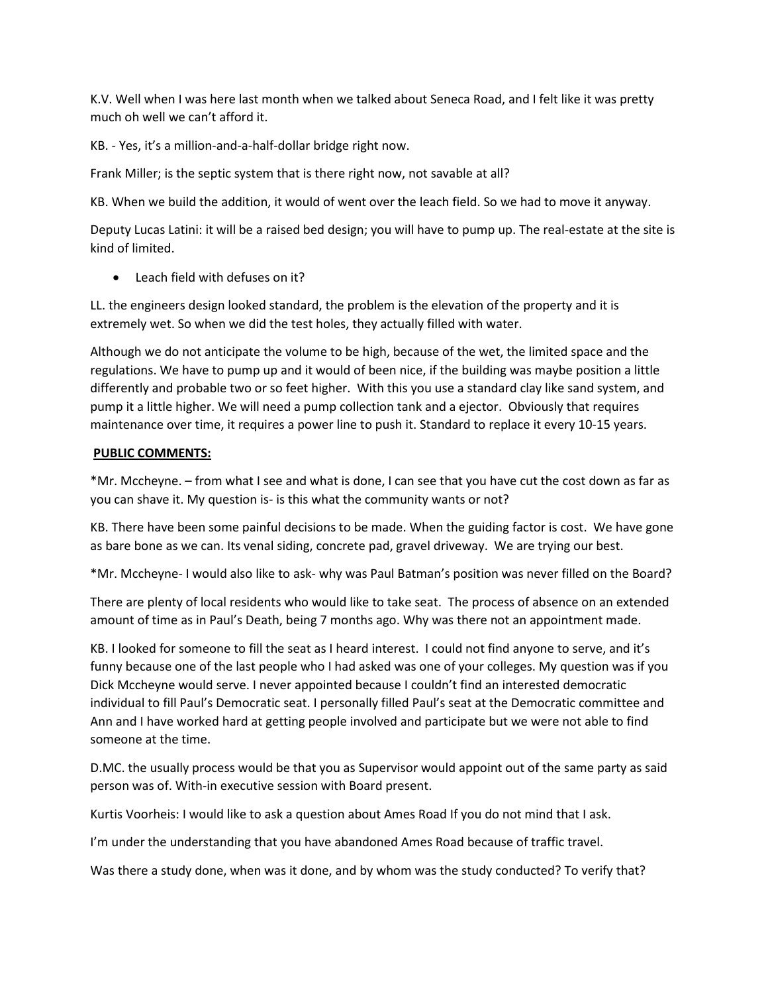K.V. Well when I was here last month when we talked about Seneca Road, and I felt like it was pretty much oh well we can't afford it.

KB. - Yes, it's a million-and-a-half-dollar bridge right now.

Frank Miller; is the septic system that is there right now, not savable at all?

KB. When we build the addition, it would of went over the leach field. So we had to move it anyway.

Deputy Lucas Latini: it will be a raised bed design; you will have to pump up. The real-estate at the site is kind of limited.

• Leach field with defuses on it?

LL. the engineers design looked standard, the problem is the elevation of the property and it is extremely wet. So when we did the test holes, they actually filled with water.

Although we do not anticipate the volume to be high, because of the wet, the limited space and the regulations. We have to pump up and it would of been nice, if the building was maybe position a little differently and probable two or so feet higher. With this you use a standard clay like sand system, and pump it a little higher. We will need a pump collection tank and a ejector. Obviously that requires maintenance over time, it requires a power line to push it. Standard to replace it every 10-15 years.

## **PUBLIC COMMENTS:**

\*Mr. Mccheyne. – from what I see and what is done, I can see that you have cut the cost down as far as you can shave it. My question is- is this what the community wants or not?

KB. There have been some painful decisions to be made. When the guiding factor is cost. We have gone as bare bone as we can. Its venal siding, concrete pad, gravel driveway. We are trying our best.

\*Mr. Mccheyne- I would also like to ask- why was Paul Batman's position was never filled on the Board?

There are plenty of local residents who would like to take seat. The process of absence on an extended amount of time as in Paul's Death, being 7 months ago. Why was there not an appointment made.

KB. I looked for someone to fill the seat as I heard interest. I could not find anyone to serve, and it's funny because one of the last people who I had asked was one of your colleges. My question was if you Dick Mccheyne would serve. I never appointed because I couldn't find an interested democratic individual to fill Paul's Democratic seat. I personally filled Paul's seat at the Democratic committee and Ann and I have worked hard at getting people involved and participate but we were not able to find someone at the time.

D.MC. the usually process would be that you as Supervisor would appoint out of the same party as said person was of. With-in executive session with Board present.

Kurtis Voorheis: I would like to ask a question about Ames Road If you do not mind that I ask.

I'm under the understanding that you have abandoned Ames Road because of traffic travel.

Was there a study done, when was it done, and by whom was the study conducted? To verify that?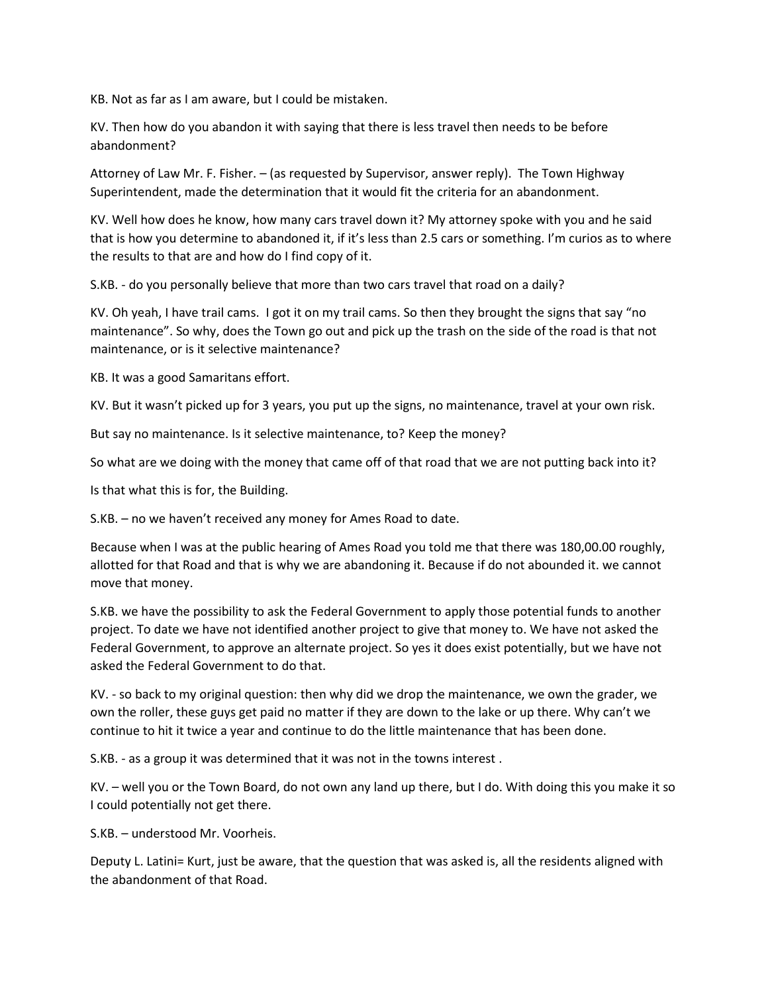KB. Not as far as I am aware, but I could be mistaken.

KV. Then how do you abandon it with saying that there is less travel then needs to be before abandonment?

Attorney of Law Mr. F. Fisher. – (as requested by Supervisor, answer reply). The Town Highway Superintendent, made the determination that it would fit the criteria for an abandonment.

KV. Well how does he know, how many cars travel down it? My attorney spoke with you and he said that is how you determine to abandoned it, if it's less than 2.5 cars or something. I'm curios as to where the results to that are and how do I find copy of it.

S.KB. - do you personally believe that more than two cars travel that road on a daily?

KV. Oh yeah, I have trail cams. I got it on my trail cams. So then they brought the signs that say "no maintenance". So why, does the Town go out and pick up the trash on the side of the road is that not maintenance, or is it selective maintenance?

KB. It was a good Samaritans effort.

KV. But it wasn't picked up for 3 years, you put up the signs, no maintenance, travel at your own risk.

But say no maintenance. Is it selective maintenance, to? Keep the money?

So what are we doing with the money that came off of that road that we are not putting back into it?

Is that what this is for, the Building.

S.KB. – no we haven't received any money for Ames Road to date.

Because when I was at the public hearing of Ames Road you told me that there was 180,00.00 roughly, allotted for that Road and that is why we are abandoning it. Because if do not abounded it. we cannot move that money.

S.KB. we have the possibility to ask the Federal Government to apply those potential funds to another project. To date we have not identified another project to give that money to. We have not asked the Federal Government, to approve an alternate project. So yes it does exist potentially, but we have not asked the Federal Government to do that.

KV. - so back to my original question: then why did we drop the maintenance, we own the grader, we own the roller, these guys get paid no matter if they are down to the lake or up there. Why can't we continue to hit it twice a year and continue to do the little maintenance that has been done.

S.KB. - as a group it was determined that it was not in the towns interest .

KV. – well you or the Town Board, do not own any land up there, but I do. With doing this you make it so I could potentially not get there.

S.KB. – understood Mr. Voorheis.

Deputy L. Latini= Kurt, just be aware, that the question that was asked is, all the residents aligned with the abandonment of that Road.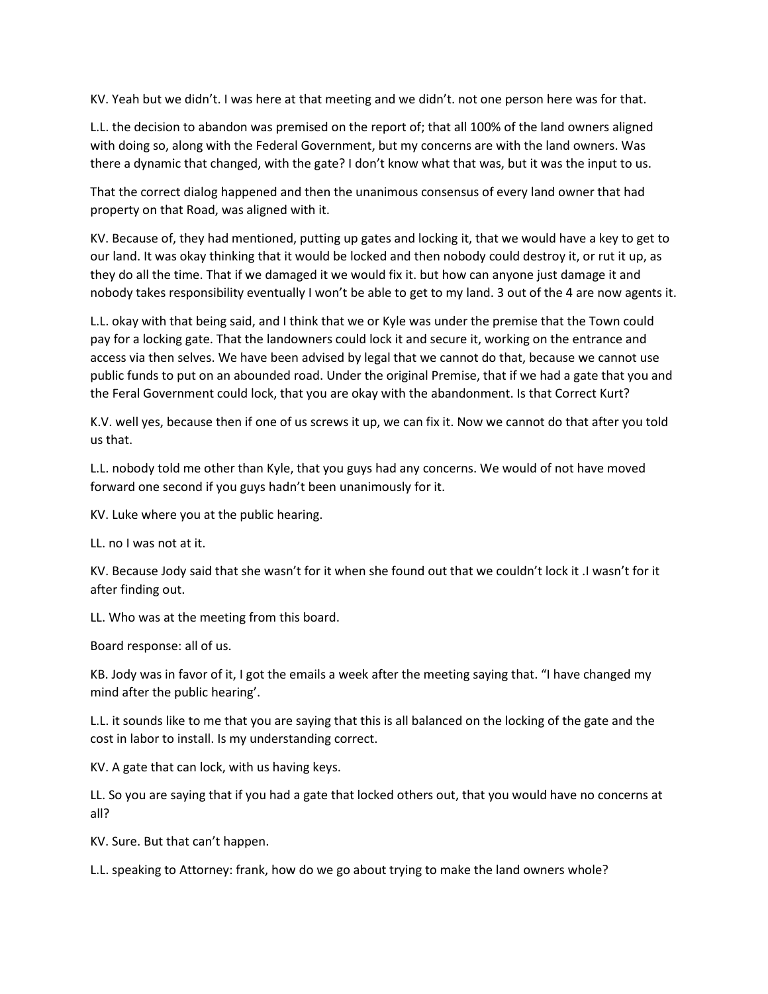KV. Yeah but we didn't. I was here at that meeting and we didn't. not one person here was for that.

L.L. the decision to abandon was premised on the report of; that all 100% of the land owners aligned with doing so, along with the Federal Government, but my concerns are with the land owners. Was there a dynamic that changed, with the gate? I don't know what that was, but it was the input to us.

That the correct dialog happened and then the unanimous consensus of every land owner that had property on that Road, was aligned with it.

KV. Because of, they had mentioned, putting up gates and locking it, that we would have a key to get to our land. It was okay thinking that it would be locked and then nobody could destroy it, or rut it up, as they do all the time. That if we damaged it we would fix it. but how can anyone just damage it and nobody takes responsibility eventually I won't be able to get to my land. 3 out of the 4 are now agents it.

L.L. okay with that being said, and I think that we or Kyle was under the premise that the Town could pay for a locking gate. That the landowners could lock it and secure it, working on the entrance and access via then selves. We have been advised by legal that we cannot do that, because we cannot use public funds to put on an abounded road. Under the original Premise, that if we had a gate that you and the Feral Government could lock, that you are okay with the abandonment. Is that Correct Kurt?

K.V. well yes, because then if one of us screws it up, we can fix it. Now we cannot do that after you told us that.

L.L. nobody told me other than Kyle, that you guys had any concerns. We would of not have moved forward one second if you guys hadn't been unanimously for it.

KV. Luke where you at the public hearing.

LL. no I was not at it.

KV. Because Jody said that she wasn't for it when she found out that we couldn't lock it .I wasn't for it after finding out.

LL. Who was at the meeting from this board.

Board response: all of us.

KB. Jody was in favor of it, I got the emails a week after the meeting saying that. "I have changed my mind after the public hearing'.

L.L. it sounds like to me that you are saying that this is all balanced on the locking of the gate and the cost in labor to install. Is my understanding correct.

KV. A gate that can lock, with us having keys.

LL. So you are saying that if you had a gate that locked others out, that you would have no concerns at all?

KV. Sure. But that can't happen.

L.L. speaking to Attorney: frank, how do we go about trying to make the land owners whole?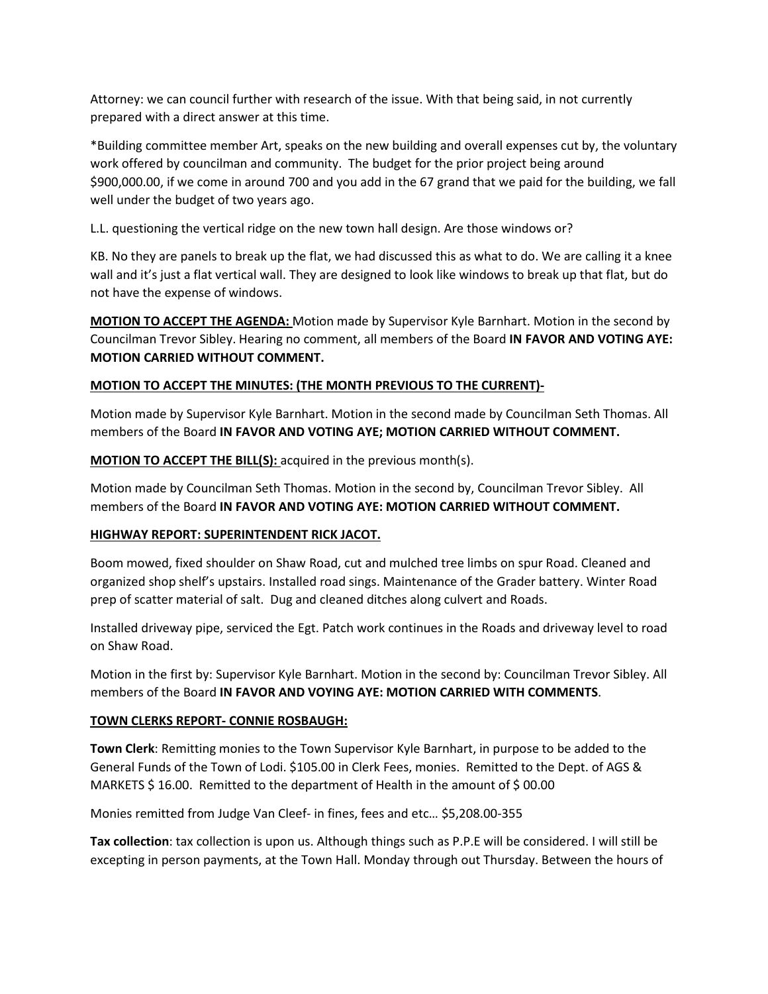Attorney: we can council further with research of the issue. With that being said, in not currently prepared with a direct answer at this time.

\*Building committee member Art, speaks on the new building and overall expenses cut by, the voluntary work offered by councilman and community. The budget for the prior project being around \$900,000.00, if we come in around 700 and you add in the 67 grand that we paid for the building, we fall well under the budget of two years ago.

L.L. questioning the vertical ridge on the new town hall design. Are those windows or?

KB. No they are panels to break up the flat, we had discussed this as what to do. We are calling it a knee wall and it's just a flat vertical wall. They are designed to look like windows to break up that flat, but do not have the expense of windows.

**MOTION TO ACCEPT THE AGENDA:** Motion made by Supervisor Kyle Barnhart. Motion in the second by Councilman Trevor Sibley. Hearing no comment, all members of the Board **IN FAVOR AND VOTING AYE: MOTION CARRIED WITHOUT COMMENT.**

## **MOTION TO ACCEPT THE MINUTES: (THE MONTH PREVIOUS TO THE CURRENT)-**

Motion made by Supervisor Kyle Barnhart. Motion in the second made by Councilman Seth Thomas. All members of the Board **IN FAVOR AND VOTING AYE; MOTION CARRIED WITHOUT COMMENT.** 

**MOTION TO ACCEPT THE BILL(S):** acquired in the previous month(s).

Motion made by Councilman Seth Thomas. Motion in the second by, Councilman Trevor Sibley. All members of the Board **IN FAVOR AND VOTING AYE: MOTION CARRIED WITHOUT COMMENT.**

## **HIGHWAY REPORT: SUPERINTENDENT RICK JACOT.**

Boom mowed, fixed shoulder on Shaw Road, cut and mulched tree limbs on spur Road. Cleaned and organized shop shelf's upstairs. Installed road sings. Maintenance of the Grader battery. Winter Road prep of scatter material of salt. Dug and cleaned ditches along culvert and Roads.

Installed driveway pipe, serviced the Egt. Patch work continues in the Roads and driveway level to road on Shaw Road.

Motion in the first by: Supervisor Kyle Barnhart. Motion in the second by: Councilman Trevor Sibley. All members of the Board **IN FAVOR AND VOYING AYE: MOTION CARRIED WITH COMMENTS**.

## **TOWN CLERKS REPORT- CONNIE ROSBAUGH:**

**Town Clerk**: Remitting monies to the Town Supervisor Kyle Barnhart, in purpose to be added to the General Funds of the Town of Lodi. \$105.00 in Clerk Fees, monies. Remitted to the Dept. of AGS & MARKETS \$16.00. Remitted to the department of Health in the amount of \$00.00

Monies remitted from Judge Van Cleef- in fines, fees and etc… \$5,208.00-355

**Tax collection**: tax collection is upon us. Although things such as P.P.E will be considered. I will still be excepting in person payments, at the Town Hall. Monday through out Thursday. Between the hours of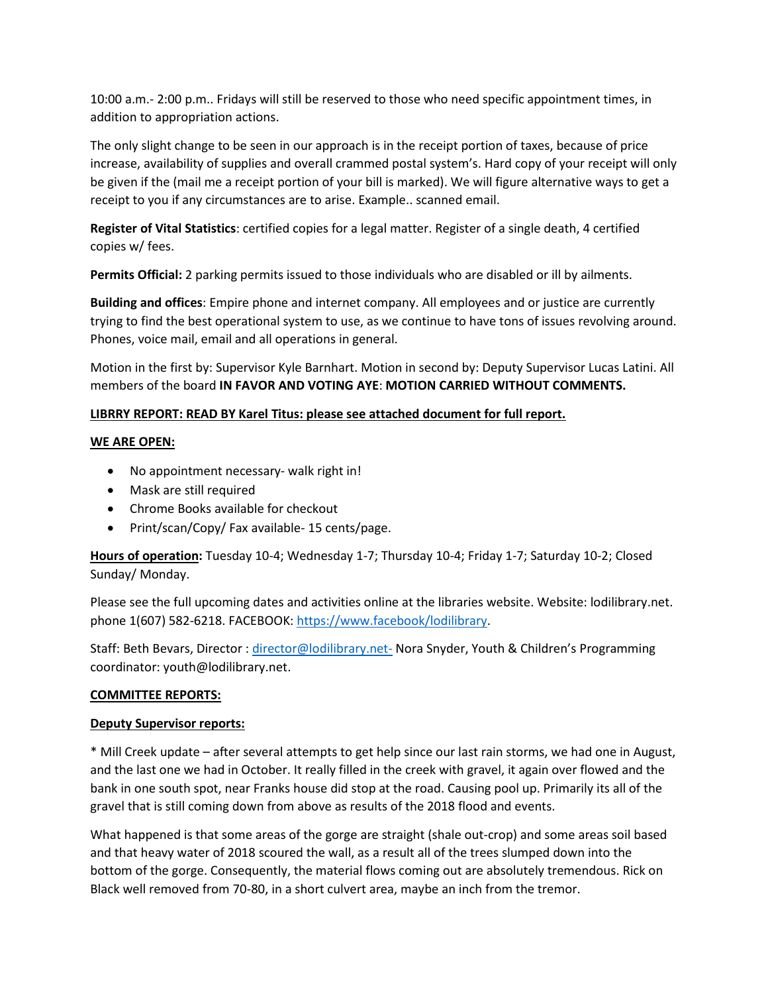10:00 a.m.- 2:00 p.m.. Fridays will still be reserved to those who need specific appointment times, in addition to appropriation actions.

The only slight change to be seen in our approach is in the receipt portion of taxes, because of price increase, availability of supplies and overall crammed postal system's. Hard copy of your receipt will only be given if the (mail me a receipt portion of your bill is marked). We will figure alternative ways to get a receipt to you if any circumstances are to arise. Example.. scanned email.

**Register of Vital Statistics**: certified copies for a legal matter. Register of a single death, 4 certified copies w/ fees.

**Permits Official:** 2 parking permits issued to those individuals who are disabled or ill by ailments.

**Building and offices**: Empire phone and internet company. All employees and or justice are currently trying to find the best operational system to use, as we continue to have tons of issues revolving around. Phones, voice mail, email and all operations in general.

Motion in the first by: Supervisor Kyle Barnhart. Motion in second by: Deputy Supervisor Lucas Latini. All members of the board **IN FAVOR AND VOTING AYE**: **MOTION CARRIED WITHOUT COMMENTS.**

# **LIBRRY REPORT: READ BY Karel Titus: please see attached document for full report.**

## **WE ARE OPEN:**

- No appointment necessary- walk right in!
- Mask are still required
- Chrome Books available for checkout
- Print/scan/Copy/ Fax available- 15 cents/page.

**Hours of operation:** Tuesday 10-4; Wednesday 1-7; Thursday 10-4; Friday 1-7; Saturday 10-2; Closed Sunday/ Monday.

Please see the full upcoming dates and activities online at the libraries website. Website: lodilibrary.net. phone 1(607) 582-6218. FACEBOOK[: https://www.facebook/lodilibrary.](https://www.facebook/lodilibrary)

Staff: Beth Bevars, Director : [director@lodilibrary.net-](mailto:director@lodilibrary.net-) Nora Snyder, Youth & Children's Programming coordinator: youth@lodilibrary.net.

## **COMMITTEE REPORTS:**

## **Deputy Supervisor reports:**

\* Mill Creek update – after several attempts to get help since our last rain storms, we had one in August, and the last one we had in October. It really filled in the creek with gravel, it again over flowed and the bank in one south spot, near Franks house did stop at the road. Causing pool up. Primarily its all of the gravel that is still coming down from above as results of the 2018 flood and events.

What happened is that some areas of the gorge are straight (shale out-crop) and some areas soil based and that heavy water of 2018 scoured the wall, as a result all of the trees slumped down into the bottom of the gorge. Consequently, the material flows coming out are absolutely tremendous. Rick on Black well removed from 70-80, in a short culvert area, maybe an inch from the tremor.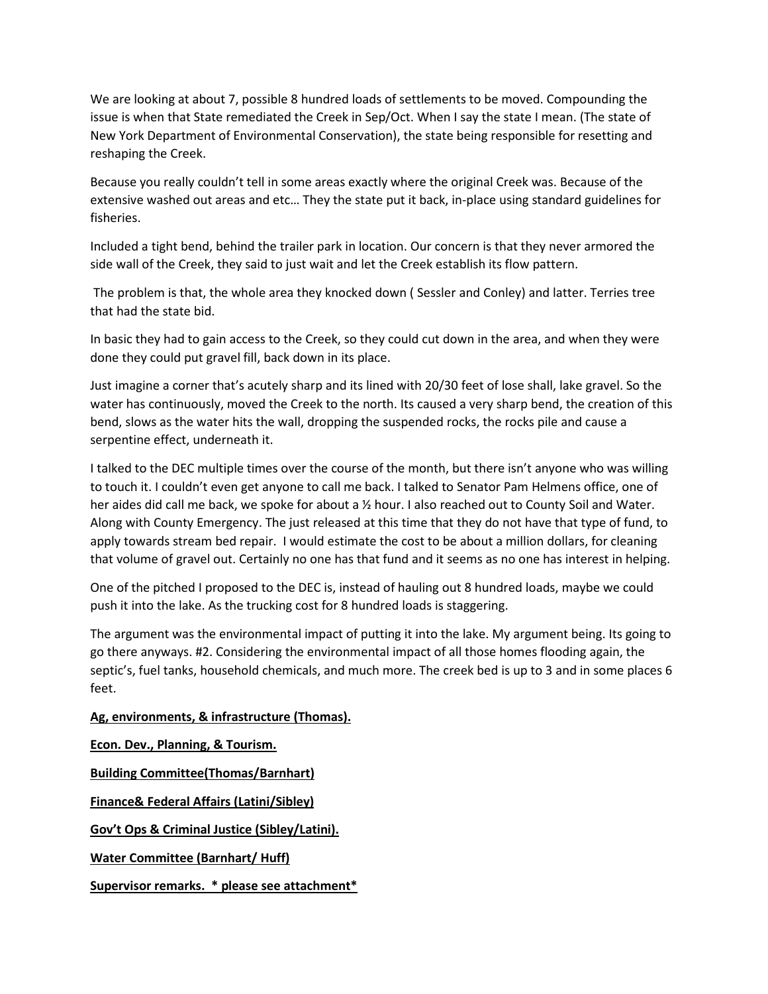We are looking at about 7, possible 8 hundred loads of settlements to be moved. Compounding the issue is when that State remediated the Creek in Sep/Oct. When I say the state I mean. (The state of New York Department of Environmental Conservation), the state being responsible for resetting and reshaping the Creek.

Because you really couldn't tell in some areas exactly where the original Creek was. Because of the extensive washed out areas and etc… They the state put it back, in-place using standard guidelines for fisheries.

Included a tight bend, behind the trailer park in location. Our concern is that they never armored the side wall of the Creek, they said to just wait and let the Creek establish its flow pattern.

The problem is that, the whole area they knocked down ( Sessler and Conley) and latter. Terries tree that had the state bid.

In basic they had to gain access to the Creek, so they could cut down in the area, and when they were done they could put gravel fill, back down in its place.

Just imagine a corner that's acutely sharp and its lined with 20/30 feet of lose shall, lake gravel. So the water has continuously, moved the Creek to the north. Its caused a very sharp bend, the creation of this bend, slows as the water hits the wall, dropping the suspended rocks, the rocks pile and cause a serpentine effect, underneath it.

I talked to the DEC multiple times over the course of the month, but there isn't anyone who was willing to touch it. I couldn't even get anyone to call me back. I talked to Senator Pam Helmens office, one of her aides did call me back, we spoke for about a 1/2 hour. I also reached out to County Soil and Water. Along with County Emergency. The just released at this time that they do not have that type of fund, to apply towards stream bed repair. I would estimate the cost to be about a million dollars, for cleaning that volume of gravel out. Certainly no one has that fund and it seems as no one has interest in helping.

One of the pitched I proposed to the DEC is, instead of hauling out 8 hundred loads, maybe we could push it into the lake. As the trucking cost for 8 hundred loads is staggering.

The argument was the environmental impact of putting it into the lake. My argument being. Its going to go there anyways. #2. Considering the environmental impact of all those homes flooding again, the septic's, fuel tanks, household chemicals, and much more. The creek bed is up to 3 and in some places 6 feet.

## **Ag, environments, & infrastructure (Thomas).**

**Econ. Dev., Planning, & Tourism. Building Committee(Thomas/Barnhart) Finance& Federal Affairs (Latini/Sibley) Gov't Ops & Criminal Justice (Sibley/Latini). Water Committee (Barnhart/ Huff) Supervisor remarks. \* please see attachment\***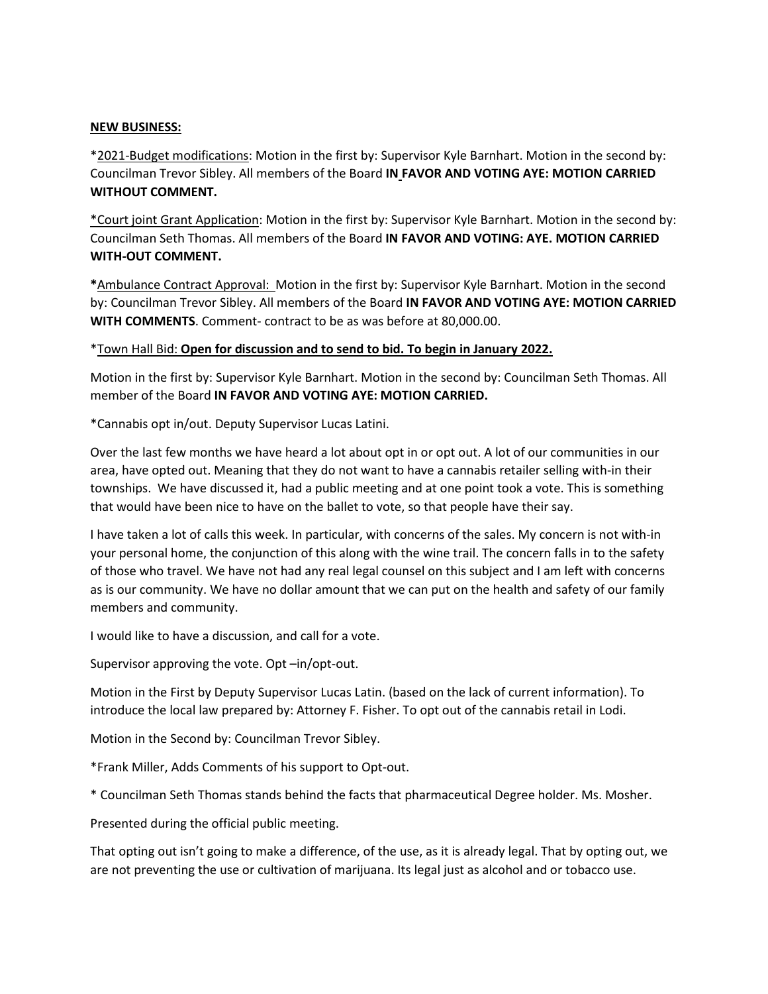#### **NEW BUSINESS:**

\*2021-Budget modifications: Motion in the first by: Supervisor Kyle Barnhart. Motion in the second by: Councilman Trevor Sibley. All members of the Board **IN FAVOR AND VOTING AYE: MOTION CARRIED WITHOUT COMMENT.**

\*Court joint Grant Application: Motion in the first by: Supervisor Kyle Barnhart. Motion in the second by: Councilman Seth Thomas. All members of the Board **IN FAVOR AND VOTING: AYE. MOTION CARRIED WITH-OUT COMMENT.**

**\***Ambulance Contract Approval: Motion in the first by: Supervisor Kyle Barnhart. Motion in the second by: Councilman Trevor Sibley. All members of the Board **IN FAVOR AND VOTING AYE: MOTION CARRIED WITH COMMENTS**. Comment- contract to be as was before at 80,000.00.

#### \*Town Hall Bid: **Open for discussion and to send to bid. To begin in January 2022.**

Motion in the first by: Supervisor Kyle Barnhart. Motion in the second by: Councilman Seth Thomas. All member of the Board **IN FAVOR AND VOTING AYE: MOTION CARRIED.**

\*Cannabis opt in/out. Deputy Supervisor Lucas Latini.

Over the last few months we have heard a lot about opt in or opt out. A lot of our communities in our area, have opted out. Meaning that they do not want to have a cannabis retailer selling with-in their townships. We have discussed it, had a public meeting and at one point took a vote. This is something that would have been nice to have on the ballet to vote, so that people have their say.

I have taken a lot of calls this week. In particular, with concerns of the sales. My concern is not with-in your personal home, the conjunction of this along with the wine trail. The concern falls in to the safety of those who travel. We have not had any real legal counsel on this subject and I am left with concerns as is our community. We have no dollar amount that we can put on the health and safety of our family members and community.

I would like to have a discussion, and call for a vote.

Supervisor approving the vote. Opt –in/opt-out.

Motion in the First by Deputy Supervisor Lucas Latin. (based on the lack of current information). To introduce the local law prepared by: Attorney F. Fisher. To opt out of the cannabis retail in Lodi.

Motion in the Second by: Councilman Trevor Sibley.

\*Frank Miller, Adds Comments of his support to Opt-out.

\* Councilman Seth Thomas stands behind the facts that pharmaceutical Degree holder. Ms. Mosher.

Presented during the official public meeting.

That opting out isn't going to make a difference, of the use, as it is already legal. That by opting out, we are not preventing the use or cultivation of marijuana. Its legal just as alcohol and or tobacco use.